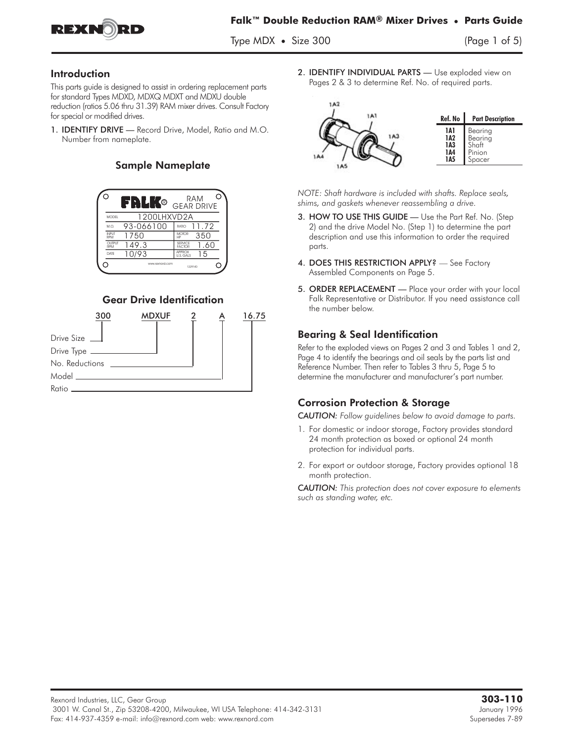

Type MDX **•** Size 300 (Page 1 of 5)

### Introduction

This parts guide is designed to assist in ordering replacement parts for standard Types MDXD, MDXQ MDXT and MDXU double reduction (ratios 5.06 thru 31.39) RAM mixer drives. Consult Factory for special or modified drives.

1. **IDENTIFY DRIVE** - Record Drive, Model, Ratio and M.O. Number from nameplate.

## Sample Nameplate



## Gear Drive Identification



2. **IDENTIFY INDIVIDUAL PARTS** - Use exploded view on Pages 2 & 3 to determine Ref. No. of required parts.



*NOTE: Shaft hardware is included with shafts. Replace seals, shims, and gaskets whenever reassembling a drive.*

- 3. HOW TO USE THIS GUIDE Use the Part Ref. No. (Step 2) and the drive Model No. (Step 1) to determine the part description and use this information to order the required parts.
- 4. DOES THIS RESTRICTION APPLY? See Factory Assembled Components on Page 5.
- 5. ORDER REPLACEMENT Place your order with your local Falk Representative or Distributor. If you need assistance call the number below.

## Bearing & Seal Identification

Refer to the exploded views on Pages 2 and 3 and Tables 1 and 2, Page 4 to identify the bearings and oil seals by the parts list and Reference Number. Then refer to Tables 3 thru 5, Page 5 to determine the manufacturer and manufacturer's part number.

## Corrosion Protection & Storage

*CAUTION: Follow guidelines below to avoid damage to parts.*

- 1. For domestic or indoor storage, Factory provides standard 24 month protection as boxed or optional 24 month protection for individual parts.
- 2. For export or outdoor storage, Factory provides optional 18 month protection.

*CAUTION: This protection does not cover exposure to elements such as standing water, etc.*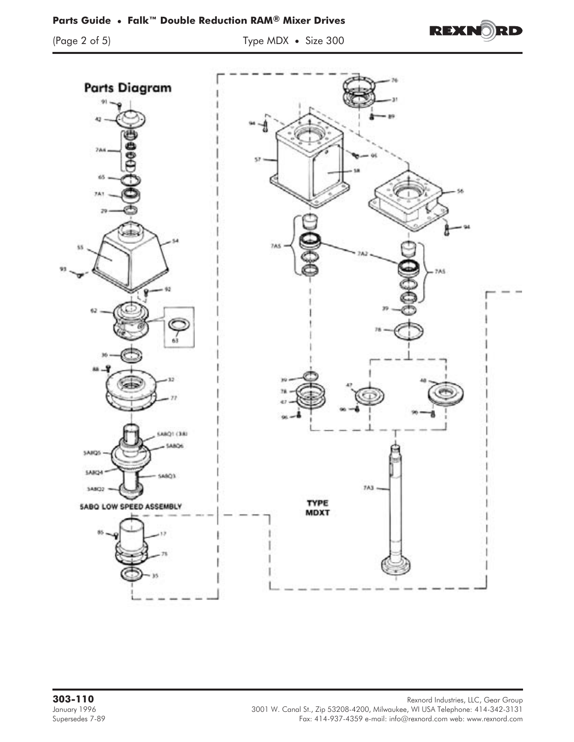## **Parts Guide • Falk™ Double Reduction RAM® Mixer Drives**

(Page 2 of 5) Type MDX **•** Size 300



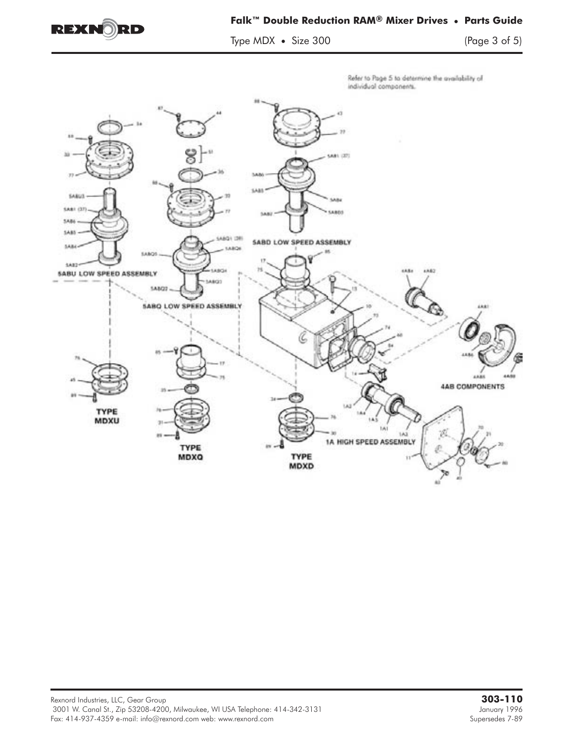

### **Falk™ Double Reduction RAM® Mixer Drives • Parts Guide**

Type MDX **•** Size 300 (Page 3 of 5)

Refer to Page 5 to determine the availability of individual components.

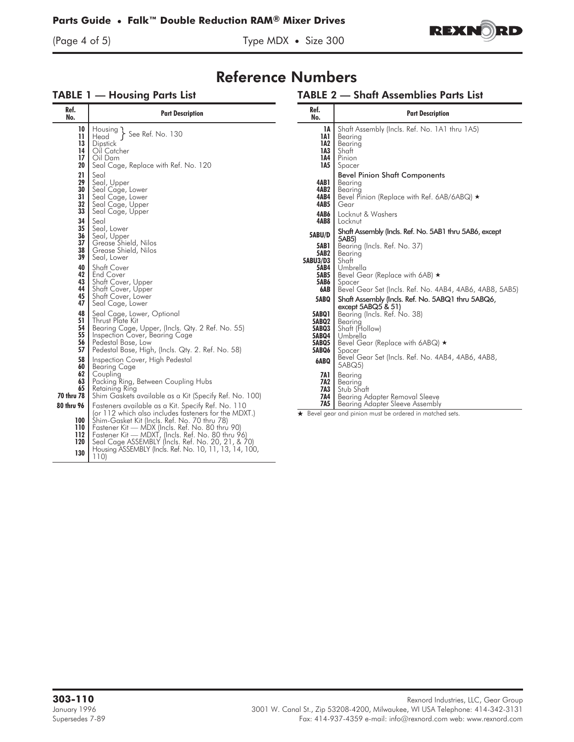(Page 4 of 5) Type MDX **•** Size 300



# Reference Numbers

## TABLE 1 — Housing Parts List

#### TABLE 2 — Shaft Assemblies Parts List

| Ref.<br>No.                                              | <b>Part Description</b>                                                                                                                                                                                                                                                                                                                  | Ref.<br>No.                                                      | <b>Part Description</b>                                                                                                                                                              |
|----------------------------------------------------------|------------------------------------------------------------------------------------------------------------------------------------------------------------------------------------------------------------------------------------------------------------------------------------------------------------------------------------------|------------------------------------------------------------------|--------------------------------------------------------------------------------------------------------------------------------------------------------------------------------------|
| 10<br>$\mathbf{1}$<br>13<br>14<br>17<br>20<br>21         | $\left\{\text{Housing}\atop \text{Head}\right\}$ See Ref. No. 130<br>Dipstick<br>Oil Catcher<br>Oil Dam<br>Seal Cage, Replace with Ref. No. 120<br>Seal                                                                                                                                                                                  | 1A<br>1A1<br>1A2<br>1A3<br>1A4<br>1A5                            | Shaft Assembly (Incls. Ref. No. 1A1 thru 1A5)<br>Bearing<br>Bearing<br>Shaft<br>Pinion<br>Spacer<br><b>Bevel Pinion Shaft Components</b>                                             |
| 29<br>30<br>31<br>32<br>33<br>34                         | Seal, Upper<br>Seal Cage, Lower<br>Seal Cage, Lower<br>Seal Cage, Upper<br>Seal Cage, Upper<br>Seal                                                                                                                                                                                                                                      | 4AB1<br>4AB2<br>4AB4<br>4AB5<br>4AB6<br>4AB8                     | Bearing<br>Bearing<br>Bevel Pinion (Replace with Ref. 6AB/6ABQ) $\star$<br>Gear<br>Locknut & Washers<br>Locknut                                                                      |
| 35<br>36<br>37<br>38<br>39<br>40                         | Seal, Lower<br>Seal, Upper<br>Grease Shield, Nilos<br>Grease Shield, Nilos<br>Seal, Lower<br>Shaft Cover                                                                                                                                                                                                                                 | 5ABU/D<br>5AB1<br>5AB2<br>5ABU3/D3<br><b>5AB4</b>                | Shaft Assembly (Incls. Ref. No. 5AB1 thru 5AB6, except<br>5AB5)<br>Bearing (Incls. Ref. No. 37)<br>Bearing<br>Shaft<br>Umbrella                                                      |
| 42<br>43<br>44<br>45<br>47                               | <b>End Cover</b><br>Shaft Cover, Upper<br>Shaft Cover, Upper<br>Shaft Cover, Lower<br>Seal Cage, Lower                                                                                                                                                                                                                                   | <b>5AB5</b><br><b>5AB6</b><br>6AB<br>5ABQ                        | Bevel Gear (Replace with 6AB) ★<br>Spacer<br>Bevel Gear Set (Incls. Ref. No. 4AB4, 4AB6, 4AB8, 5AB5)<br>Shaft Assembly (Incls. Ref. No. 5ABQ1 thru 5ABQ6,<br>except $5ABQ5$ & $51$ ) |
| 48<br>51<br>54<br>55<br>56 <br>57                        | Seal Cage, Lower, Optional<br>Thrust Plate Kit<br>Bearing Cage, Upper, (Incls. Qty. 2 Ref. No. 55)<br>Inspection Cover, Bearing Cage<br>Pedestal Base, Low<br>Pedestal Base, High, (Incls. Qty. 2. Ref. No. 58)                                                                                                                          | <b>5ABQ1</b><br>5ABQ2<br>5ABQ3<br>5ABQ4<br><b>5ABQ5</b><br>5ABQ6 | Bearing (Incls. Ref. No. 38)<br>Bearing<br>Shaft (Hollow)<br>Umbrella<br>Bevel Gear (Replace with 6ABQ) ★<br>Spacer                                                                  |
| 58<br>60 l<br>62<br>63<br>65<br>70 thru 78<br>80 thru 96 | Inspection Cover, High Pedestal<br><b>Bearing Cage</b><br>Coupling<br>Packing Ring, Between Coupling Hubs<br>Retaining Ring<br>Shim Gaskets available as a Kit (Specify Ref. No. 100)<br>Fasteners available as a Kit. Specify Ref. No. 110                                                                                              | 6ABQ<br>7A1<br>7A2<br>7A3<br>7A4<br>7A5                          | Bevel Gear Set (Incls. Ref. No. 4AB4, 4AB6, 4AB8,<br>5ABQ5)<br>Bearina<br>Bearing<br>Stub Shaft<br>Bearing Adapter Removal Sleeve<br>Bearing Adapter Sleeve Assembly                 |
| 110 I<br>112 <sub>1</sub><br>120<br>130                  | (or 112 which also includes fasteners for the MDXT.)<br>100   Shim-Gasket Kit (Incls. Ref. No. 70 thru 78)<br>Fastener Kit — MDX (Incls. Ref. No. 80 thru 90)<br>Fastener Kit — MDXT, (Incls. Ref. No. 80 thru 96)<br>Seal Cage ASSEMBLY (Incls. Ref. No. 20, 21, & 70)<br>Housing ASSEMBLY (Incls. Ref. No. 10, 11, 13, 14, 100,<br>110 |                                                                  | ★ Bevel gear and pinion must be ordered in matched sets.                                                                                                                             |